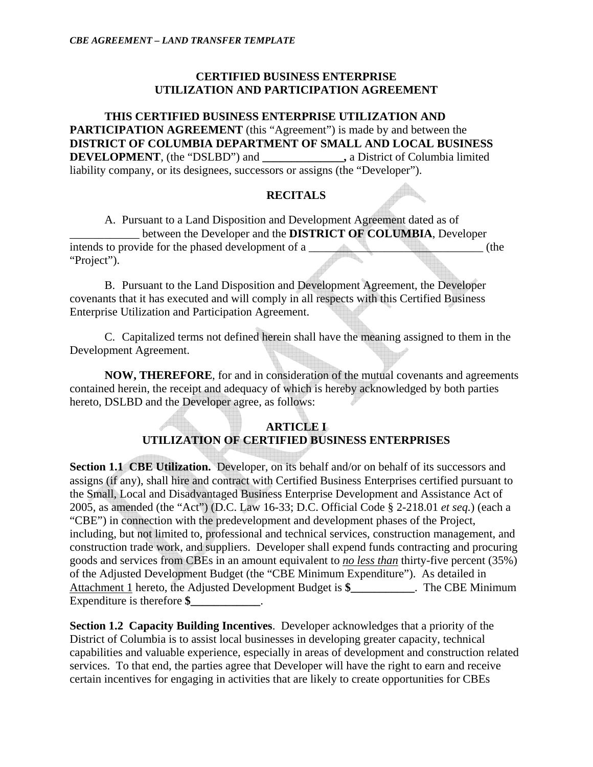### **CERTIFIED BUSINESS ENTERPRISE UTILIZATION AND PARTICIPATION AGREEMENT**

**THIS CERTIFIED BUSINESS ENTERPRISE UTILIZATION AND PARTICIPATION AGREEMENT** (this "Agreement") is made by and between the **DISTRICT OF COLUMBIA DEPARTMENT OF SMALL AND LOCAL BUSINESS DEVELOPMENT**, (the "DSLBD") and **\_\_\_\_\_\_\_\_\_\_\_\_\_\_,** a District of Columbia limited liability company, or its designees, successors or assigns (the "Developer").

### **RECITALS**

A. Pursuant to a Land Disposition and Development Agreement dated as of \_\_\_\_\_\_\_\_\_\_\_\_ between the Developer and the **DISTRICT OF COLUMBIA**, Developer intends to provide for the phased development of a \_\_\_\_\_\_\_\_\_\_\_\_\_\_\_\_\_\_\_\_\_\_\_\_\_\_\_\_\_\_ (the "Project").

B. Pursuant to the Land Disposition and Development Agreement, the Developer covenants that it has executed and will comply in all respects with this Certified Business Enterprise Utilization and Participation Agreement.

C. Capitalized terms not defined herein shall have the meaning assigned to them in the Development Agreement.

**NOW, THEREFORE**, for and in consideration of the mutual covenants and agreements contained herein, the receipt and adequacy of which is hereby acknowledged by both parties hereto, DSLBD and the Developer agree, as follows:

## **ARTICLE I UTILIZATION OF CERTIFIED BUSINESS ENTERPRISES**

**Section 1.1 CBE Utilization.** Developer, on its behalf and/or on behalf of its successors and assigns (if any), shall hire and contract with Certified Business Enterprises certified pursuant to the Small, Local and Disadvantaged Business Enterprise Development and Assistance Act of 2005, as amended (the "Act") (D.C. Law 16-33; D.C. Official Code § 2-218.01 *et seq.*) (each a "CBE") in connection with the predevelopment and development phases of the Project, including, but not limited to, professional and technical services, construction management, and construction trade work, and suppliers. Developer shall expend funds contracting and procuring goods and services from CBEs in an amount equivalent to *no less than* thirty-five percent (35%) of the Adjusted Development Budget (the "CBE Minimum Expenditure"). As detailed in Attachment 1 hereto, the Adjusted Development Budget is **\$\_\_\_\_\_\_\_\_\_\_\_**. The CBE Minimum Expenditure is therefore \$

**Section 1.2 Capacity Building Incentives**. Developer acknowledges that a priority of the District of Columbia is to assist local businesses in developing greater capacity, technical capabilities and valuable experience, especially in areas of development and construction related services. To that end, the parties agree that Developer will have the right to earn and receive certain incentives for engaging in activities that are likely to create opportunities for CBEs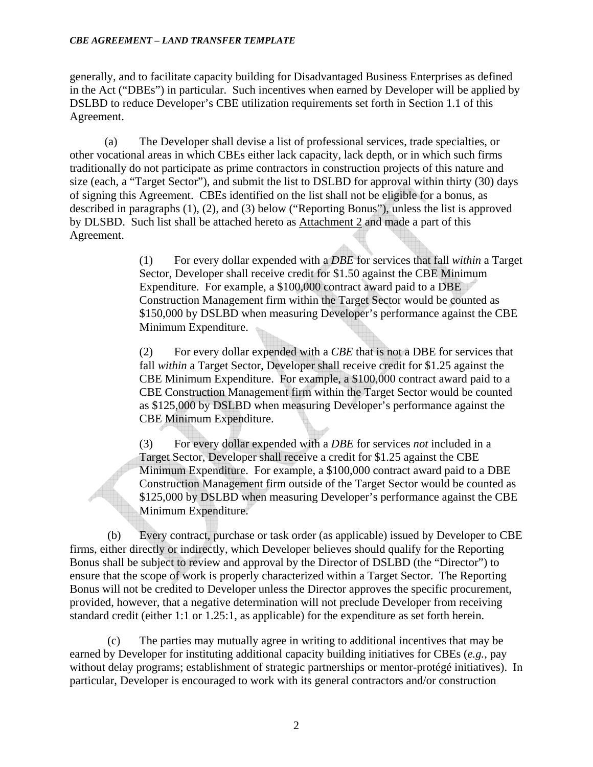#### *CBE AGREEMENT – LAND TRANSFER TEMPLATE*

generally, and to facilitate capacity building for Disadvantaged Business Enterprises as defined in the Act ("DBEs") in particular. Such incentives when earned by Developer will be applied by DSLBD to reduce Developer's CBE utilization requirements set forth in Section 1.1 of this Agreement.

(a) The Developer shall devise a list of professional services, trade specialties, or other vocational areas in which CBEs either lack capacity, lack depth, or in which such firms traditionally do not participate as prime contractors in construction projects of this nature and size (each, a "Target Sector"), and submit the list to DSLBD for approval within thirty (30) days of signing this Agreement. CBEs identified on the list shall not be eligible for a bonus, as described in paragraphs (1), (2), and (3) below ("Reporting Bonus"), unless the list is approved by DLSBD. Such list shall be attached hereto as Attachment 2 and made a part of this Agreement.

> (1) For every dollar expended with a *DBE* for services that fall *within* a Target Sector, Developer shall receive credit for \$1.50 against the CBE Minimum Expenditure. For example, a \$100,000 contract award paid to a DBE Construction Management firm within the Target Sector would be counted as \$150,000 by DSLBD when measuring Developer's performance against the CBE Minimum Expenditure.

(2) For every dollar expended with a *CBE* that is not a DBE for services that fall *within* a Target Sector, Developer shall receive credit for \$1.25 against the CBE Minimum Expenditure. For example, a \$100,000 contract award paid to a CBE Construction Management firm within the Target Sector would be counted as \$125,000 by DSLBD when measuring Developer's performance against the CBE Minimum Expenditure.

(3) For every dollar expended with a *DBE* for services *not* included in a Target Sector, Developer shall receive a credit for \$1.25 against the CBE Minimum Expenditure. For example, a \$100,000 contract award paid to a DBE Construction Management firm outside of the Target Sector would be counted as \$125,000 by DSLBD when measuring Developer's performance against the CBE Minimum Expenditure.

 (b) Every contract, purchase or task order (as applicable) issued by Developer to CBE firms, either directly or indirectly, which Developer believes should qualify for the Reporting Bonus shall be subject to review and approval by the Director of DSLBD (the "Director") to ensure that the scope of work is properly characterized within a Target Sector. The Reporting Bonus will not be credited to Developer unless the Director approves the specific procurement, provided, however, that a negative determination will not preclude Developer from receiving standard credit (either 1:1 or 1.25:1, as applicable) for the expenditure as set forth herein.

 (c) The parties may mutually agree in writing to additional incentives that may be earned by Developer for instituting additional capacity building initiatives for CBEs (*e.g.*, pay without delay programs; establishment of strategic partnerships or mentor-protégé initiatives). In particular, Developer is encouraged to work with its general contractors and/or construction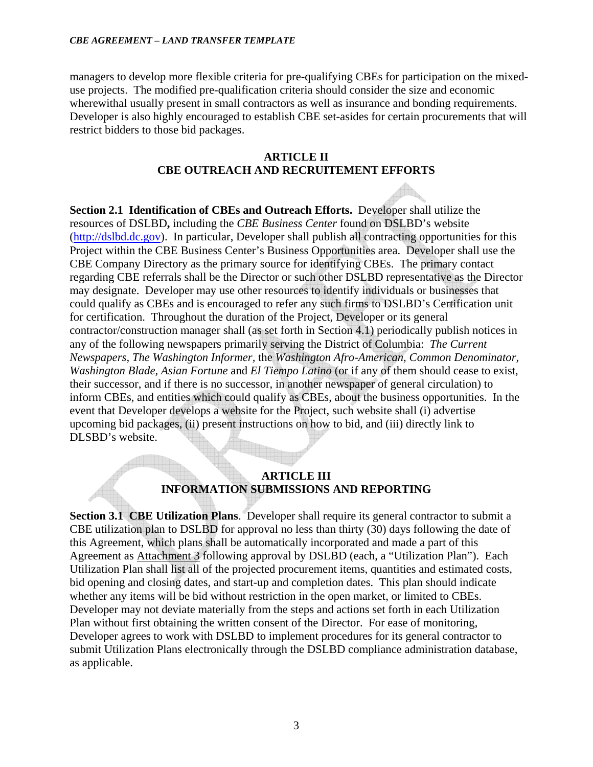#### *CBE AGREEMENT – LAND TRANSFER TEMPLATE*

managers to develop more flexible criteria for pre-qualifying CBEs for participation on the mixeduse projects. The modified pre-qualification criteria should consider the size and economic wherewithal usually present in small contractors as well as insurance and bonding requirements. Developer is also highly encouraged to establish CBE set-asides for certain procurements that will restrict bidders to those bid packages.

### **ARTICLE II CBE OUTREACH AND RECRUITEMENT EFFORTS**

**Section 2.1 Identification of CBEs and Outreach Efforts.** Developer shall utilize the resources of DSLBD**,** including the *CBE Business Center* found on DSLBD's website (http://dslbd.dc.gov). In particular, Developer shall publish all contracting opportunities for this Project within the CBE Business Center's Business Opportunities area. Developer shall use the CBE Company Directory as the primary source for identifying CBEs. The primary contact regarding CBE referrals shall be the Director or such other DSLBD representative as the Director may designate. Developer may use other resources to identify individuals or businesses that could qualify as CBEs and is encouraged to refer any such firms to DSLBD's Certification unit for certification. Throughout the duration of the Project, Developer or its general contractor/construction manager shall (as set forth in Section 4.1) periodically publish notices in any of the following newspapers primarily serving the District of Columbia: *The Current Newspapers, The Washington Informer,* the *Washington Afro-American, Common Denominator, Washington Blade, Asian Fortune* and *El Tiempo Latino* (or if any of them should cease to exist, their successor, and if there is no successor, in another newspaper of general circulation) to inform CBEs, and entities which could qualify as CBEs, about the business opportunities. In the event that Developer develops a website for the Project, such website shall (i) advertise upcoming bid packages, (ii) present instructions on how to bid, and (iii) directly link to DLSBD's website.

## **ARTICLE III INFORMATION SUBMISSIONS AND REPORTING**

**Section 3.1 CBE Utilization Plans**. Developer shall require its general contractor to submit a CBE utilization plan to DSLBD for approval no less than thirty (30) days following the date of this Agreement, which plans shall be automatically incorporated and made a part of this Agreement as Attachment 3 following approval by DSLBD (each, a "Utilization Plan"). Each Utilization Plan shall list all of the projected procurement items, quantities and estimated costs, bid opening and closing dates, and start-up and completion dates. This plan should indicate whether any items will be bid without restriction in the open market, or limited to CBEs. Developer may not deviate materially from the steps and actions set forth in each Utilization Plan without first obtaining the written consent of the Director. For ease of monitoring, Developer agrees to work with DSLBD to implement procedures for its general contractor to submit Utilization Plans electronically through the DSLBD compliance administration database, as applicable.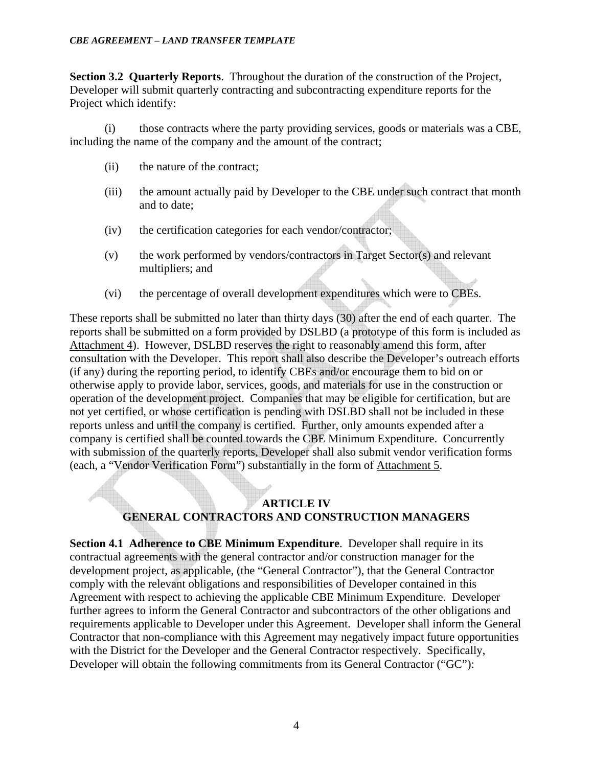**Section 3.2 Quarterly Reports**. Throughout the duration of the construction of the Project, Developer will submit quarterly contracting and subcontracting expenditure reports for the Project which identify:

(i) those contracts where the party providing services, goods or materials was a CBE, including the name of the company and the amount of the contract;

- (ii) the nature of the contract;
- (iii) the amount actually paid by Developer to the CBE under such contract that month and to date;
- (iv) the certification categories for each vendor/contractor;
- (v) the work performed by vendors/contractors in Target Sector(s) and relevant multipliers; and
- (vi) the percentage of overall development expenditures which were to CBEs.

These reports shall be submitted no later than thirty days (30) after the end of each quarter. The reports shall be submitted on a form provided by DSLBD (a prototype of this form is included as Attachment 4). However, DSLBD reserves the right to reasonably amend this form, after consultation with the Developer. This report shall also describe the Developer's outreach efforts (if any) during the reporting period, to identify CBEs and/or encourage them to bid on or otherwise apply to provide labor, services, goods, and materials for use in the construction or operation of the development project. Companies that may be eligible for certification, but are not yet certified, or whose certification is pending with DSLBD shall not be included in these reports unless and until the company is certified. Further, only amounts expended after a company is certified shall be counted towards the CBE Minimum Expenditure. Concurrently with submission of the quarterly reports, Developer shall also submit vendor verification forms (each, a "Vendor Verification Form") substantially in the form of Attachment 5.

# **ARTICLE IV GENERAL CONTRACTORS AND CONSTRUCTION MANAGERS**

**Section 4.1 Adherence to CBE Minimum Expenditure.** Developer shall require in its contractual agreements with the general contractor and/or construction manager for the development project, as applicable, (the "General Contractor"), that the General Contractor comply with the relevant obligations and responsibilities of Developer contained in this Agreement with respect to achieving the applicable CBE Minimum Expenditure. Developer further agrees to inform the General Contractor and subcontractors of the other obligations and requirements applicable to Developer under this Agreement. Developer shall inform the General Contractor that non-compliance with this Agreement may negatively impact future opportunities with the District for the Developer and the General Contractor respectively. Specifically, Developer will obtain the following commitments from its General Contractor ("GC"):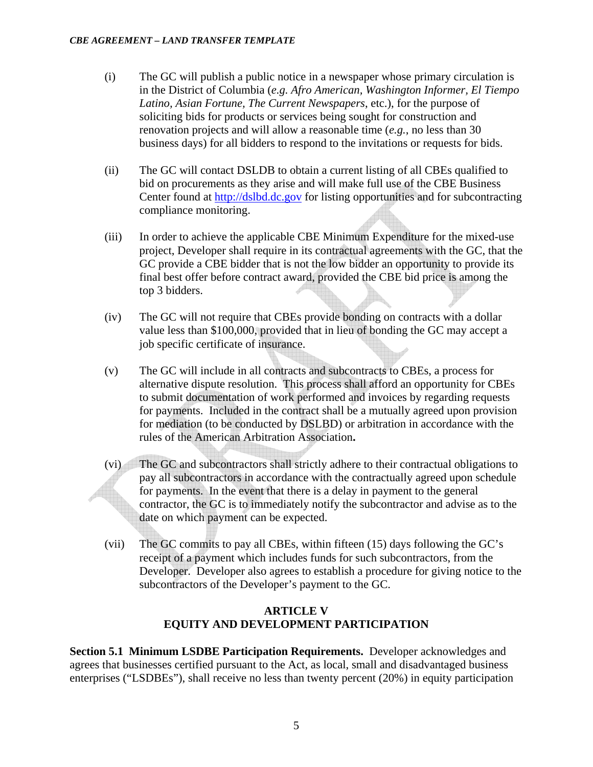- (i) The GC will publish a public notice in a newspaper whose primary circulation is in the District of Columbia (*e.g. Afro American, Washington Informer, El Tiempo Latino, Asian Fortune, The Current Newspapers*, etc.), for the purpose of soliciting bids for products or services being sought for construction and renovation projects and will allow a reasonable time (*e.g.*, no less than 30 business days) for all bidders to respond to the invitations or requests for bids.
- (ii) The GC will contact DSLDB to obtain a current listing of all CBEs qualified to bid on procurements as they arise and will make full use of the CBE Business Center found at http://dslbd.dc.gov for listing opportunities and for subcontracting compliance monitoring.
- (iii) In order to achieve the applicable CBE Minimum Expenditure for the mixed-use project, Developer shall require in its contractual agreements with the GC, that the GC provide a CBE bidder that is not the low bidder an opportunity to provide its final best offer before contract award, provided the CBE bid price is among the top 3 bidders.
- (iv) The GC will not require that CBEs provide bonding on contracts with a dollar value less than \$100,000, provided that in lieu of bonding the GC may accept a job specific certificate of insurance.
- (v) The GC will include in all contracts and subcontracts to CBEs, a process for alternative dispute resolution. This process shall afford an opportunity for CBEs to submit documentation of work performed and invoices by regarding requests for payments. Included in the contract shall be a mutually agreed upon provision for mediation (to be conducted by DSLBD) or arbitration in accordance with the rules of the American Arbitration Association**.**
- (vi) The GC and subcontractors shall strictly adhere to their contractual obligations to pay all subcontractors in accordance with the contractually agreed upon schedule for payments. In the event that there is a delay in payment to the general contractor, the GC is to immediately notify the subcontractor and advise as to the date on which payment can be expected.
- (vii) The GC commits to pay all CBEs, within fifteen (15) days following the GC's receipt of a payment which includes funds for such subcontractors, from the Developer. Developer also agrees to establish a procedure for giving notice to the subcontractors of the Developer's payment to the GC.

## **ARTICLE V EQUITY AND DEVELOPMENT PARTICIPATION**

**Section 5.1 Minimum LSDBE Participation Requirements.** Developer acknowledges and agrees that businesses certified pursuant to the Act, as local, small and disadvantaged business enterprises ("LSDBEs"), shall receive no less than twenty percent (20%) in equity participation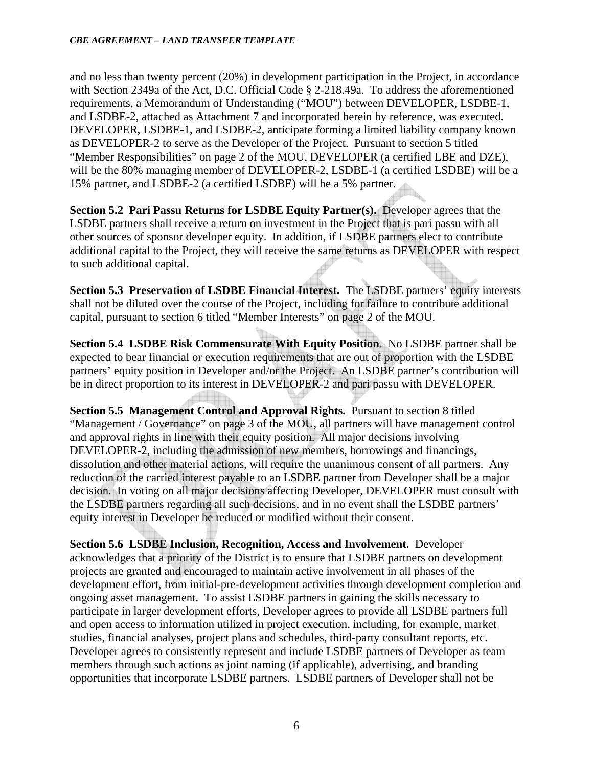and no less than twenty percent (20%) in development participation in the Project, in accordance with Section 2349a of the Act, D.C. Official Code § 2-218.49a. To address the aforementioned requirements, a Memorandum of Understanding ("MOU") between DEVELOPER, LSDBE-1, and LSDBE-2, attached as Attachment 7 and incorporated herein by reference, was executed. DEVELOPER, LSDBE-1, and LSDBE-2, anticipate forming a limited liability company known as DEVELOPER-2 to serve as the Developer of the Project. Pursuant to section 5 titled "Member Responsibilities" on page 2 of the MOU, DEVELOPER (a certified LBE and DZE), will be the 80% managing member of DEVELOPER-2, LSDBE-1 (a certified LSDBE) will be a 15% partner, and LSDBE-2 (a certified LSDBE) will be a 5% partner.

**Section 5.2 Pari Passu Returns for LSDBE Equity Partner(s).** Developer agrees that the LSDBE partners shall receive a return on investment in the Project that is pari passu with all other sources of sponsor developer equity. In addition, if LSDBE partners elect to contribute additional capital to the Project, they will receive the same returns as DEVELOPER with respect to such additional capital.

**Section 5.3 Preservation of LSDBE Financial Interest.** The LSDBE partners' equity interests shall not be diluted over the course of the Project, including for failure to contribute additional capital, pursuant to section 6 titled "Member Interests" on page 2 of the MOU.

**Section 5.4 LSDBE Risk Commensurate With Equity Position.** No LSDBE partner shall be expected to bear financial or execution requirements that are out of proportion with the LSDBE partners' equity position in Developer and/or the Project. An LSDBE partner's contribution will be in direct proportion to its interest in DEVELOPER-2 and pari passu with DEVELOPER.

**Section 5.5 Management Control and Approval Rights.** Pursuant to section 8 titled "Management / Governance" on page 3 of the MOU, all partners will have management control and approval rights in line with their equity position. All major decisions involving DEVELOPER-2, including the admission of new members, borrowings and financings, dissolution and other material actions, will require the unanimous consent of all partners. Any reduction of the carried interest payable to an LSDBE partner from Developer shall be a major decision. In voting on all major decisions affecting Developer, DEVELOPER must consult with the LSDBE partners regarding all such decisions, and in no event shall the LSDBE partners' equity interest in Developer be reduced or modified without their consent.

**Section 5.6 LSDBE Inclusion, Recognition, Access and Involvement.** Developer acknowledges that a priority of the District is to ensure that LSDBE partners on development projects are granted and encouraged to maintain active involvement in all phases of the development effort, from initial-pre-development activities through development completion and ongoing asset management. To assist LSDBE partners in gaining the skills necessary to participate in larger development efforts, Developer agrees to provide all LSDBE partners full and open access to information utilized in project execution, including, for example, market studies, financial analyses, project plans and schedules, third-party consultant reports, etc. Developer agrees to consistently represent and include LSDBE partners of Developer as team members through such actions as joint naming (if applicable), advertising, and branding opportunities that incorporate LSDBE partners. LSDBE partners of Developer shall not be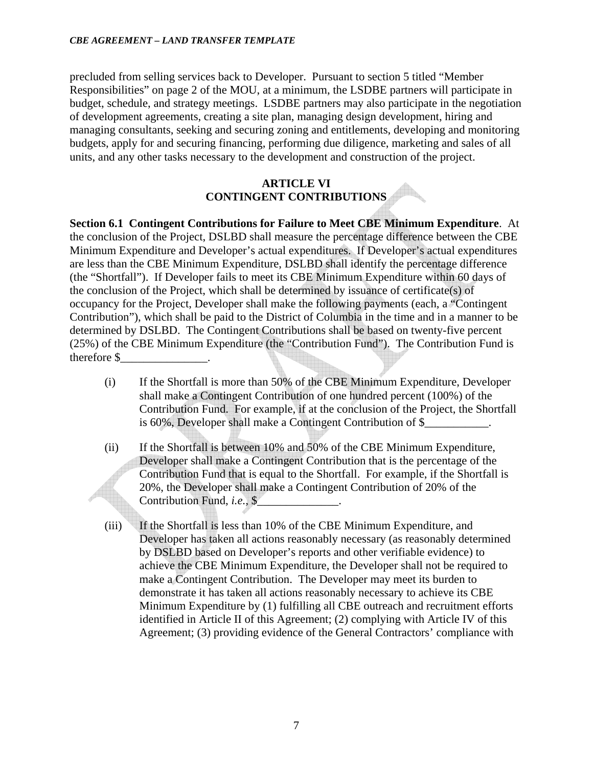precluded from selling services back to Developer. Pursuant to section 5 titled "Member Responsibilities" on page 2 of the MOU, at a minimum, the LSDBE partners will participate in budget, schedule, and strategy meetings. LSDBE partners may also participate in the negotiation of development agreements, creating a site plan, managing design development, hiring and managing consultants, seeking and securing zoning and entitlements, developing and monitoring budgets, apply for and securing financing, performing due diligence, marketing and sales of all units, and any other tasks necessary to the development and construction of the project.

### **ARTICLE VI CONTINGENT CONTRIBUTIONS**

**Section 6.1 Contingent Contributions for Failure to Meet CBE Minimum Expenditure**. At the conclusion of the Project, DSLBD shall measure the percentage difference between the CBE Minimum Expenditure and Developer's actual expenditures. If Developer's actual expenditures are less than the CBE Minimum Expenditure, DSLBD shall identify the percentage difference (the "Shortfall"). If Developer fails to meet its CBE Minimum Expenditure within 60 days of the conclusion of the Project, which shall be determined by issuance of certificate(s) of occupancy for the Project, Developer shall make the following payments (each, a "Contingent Contribution"), which shall be paid to the District of Columbia in the time and in a manner to be determined by DSLBD. The Contingent Contributions shall be based on twenty-five percent (25%) of the CBE Minimum Expenditure (the "Contribution Fund"). The Contribution Fund is therefore \$\_\_\_\_\_\_\_\_\_\_\_\_\_\_\_.

- (i) If the Shortfall is more than 50% of the CBE Minimum Expenditure, Developer shall make a Contingent Contribution of one hundred percent (100%) of the Contribution Fund. For example, if at the conclusion of the Project, the Shortfall is 60%, Developer shall make a Contingent Contribution of \$\_\_\_\_\_\_\_\_\_\_\_.
- (ii) If the Shortfall is between 10% and 50% of the CBE Minimum Expenditure, Developer shall make a Contingent Contribution that is the percentage of the Contribution Fund that is equal to the Shortfall. For example, if the Shortfall is 20%, the Developer shall make a Contingent Contribution of 20% of the Contribution Fund, *i.e.*, \$
- (iii) If the Shortfall is less than 10% of the CBE Minimum Expenditure, and Developer has taken all actions reasonably necessary (as reasonably determined by DSLBD based on Developer's reports and other verifiable evidence) to achieve the CBE Minimum Expenditure, the Developer shall not be required to make a Contingent Contribution. The Developer may meet its burden to demonstrate it has taken all actions reasonably necessary to achieve its CBE Minimum Expenditure by (1) fulfilling all CBE outreach and recruitment efforts identified in Article II of this Agreement; (2) complying with Article IV of this Agreement; (3) providing evidence of the General Contractors' compliance with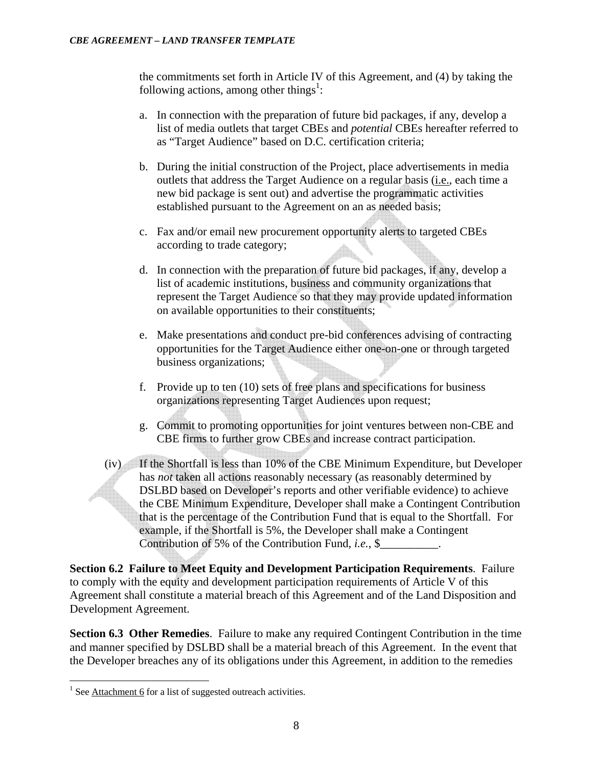the commitments set forth in Article IV of this Agreement, and (4) by taking the following actions, among other things<sup>1</sup>:

- a. In connection with the preparation of future bid packages, if any, develop a list of media outlets that target CBEs and *potential* CBEs hereafter referred to as "Target Audience" based on D.C. certification criteria;
- b. During the initial construction of the Project, place advertisements in media outlets that address the Target Audience on a regular basis (i.e., each time a new bid package is sent out) and advertise the programmatic activities established pursuant to the Agreement on an as needed basis;
- c. Fax and/or email new procurement opportunity alerts to targeted CBEs according to trade category;
- d. In connection with the preparation of future bid packages, if any, develop a list of academic institutions, business and community organizations that represent the Target Audience so that they may provide updated information on available opportunities to their constituents;
- e. Make presentations and conduct pre-bid conferences advising of contracting opportunities for the Target Audience either one-on-one or through targeted business organizations;
- f. Provide up to ten (10) sets of free plans and specifications for business organizations representing Target Audiences upon request;
- g. Commit to promoting opportunities for joint ventures between non-CBE and CBE firms to further grow CBEs and increase contract participation.
- (iv) If the Shortfall is less than 10% of the CBE Minimum Expenditure, but Developer has *not* taken all actions reasonably necessary (as reasonably determined by DSLBD based on Developer's reports and other verifiable evidence) to achieve the CBE Minimum Expenditure, Developer shall make a Contingent Contribution that is the percentage of the Contribution Fund that is equal to the Shortfall. For example, if the Shortfall is 5%, the Developer shall make a Contingent Contribution of 5% of the Contribution Fund, *i.e.*, \$\_\_\_\_\_\_\_\_\_\_.

**Section 6.2 Failure to Meet Equity and Development Participation Requirements**. Failure to comply with the equity and development participation requirements of Article V of this Agreement shall constitute a material breach of this Agreement and of the Land Disposition and Development Agreement.

**Section 6.3 Other Remedies**. Failure to make any required Contingent Contribution in the time and manner specified by DSLBD shall be a material breach of this Agreement. In the event that the Developer breaches any of its obligations under this Agreement, in addition to the remedies

<sup>&</sup>lt;sup>1</sup> See Attachment 6 for a list of suggested outreach activities.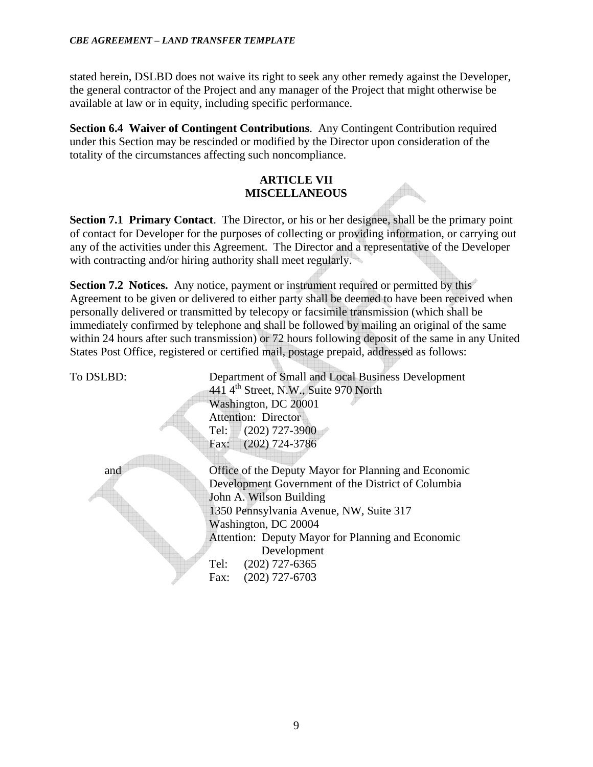stated herein, DSLBD does not waive its right to seek any other remedy against the Developer, the general contractor of the Project and any manager of the Project that might otherwise be available at law or in equity, including specific performance.

**Section 6.4 Waiver of Contingent Contributions**. Any Contingent Contribution required under this Section may be rescinded or modified by the Director upon consideration of the totality of the circumstances affecting such noncompliance.

## **ARTICLE VII MISCELLANEOUS**

**Section 7.1 Primary Contact**. The Director, or his or her designee, shall be the primary point of contact for Developer for the purposes of collecting or providing information, or carrying out any of the activities under this Agreement. The Director and a representative of the Developer with contracting and/or hiring authority shall meet regularly.

**Section 7.2 Notices.** Any notice, payment or instrument required or permitted by this Agreement to be given or delivered to either party shall be deemed to have been received when personally delivered or transmitted by telecopy or facsimile transmission (which shall be immediately confirmed by telephone and shall be followed by mailing an original of the same within 24 hours after such transmission) or 72 hours following deposit of the same in any United States Post Office, registered or certified mail, postage prepaid, addressed as follows:

To DSLBD: Department of Small and Local Business Development 441  $4<sup>th</sup>$  Street, N.W., Suite 970 North Washington, DC 20001 Attention: Director Tel: (202) 727-3900 Fax: (202) 724-3786

and Office of the Deputy Mayor for Planning and Economic Development Government of the District of Columbia John A. Wilson Building 1350 Pennsylvania Avenue, NW, Suite 317 Washington, DC 20004 Attention: Deputy Mayor for Planning and Economic Development Tel: (202) 727-6365 Fax: (202) 727-6703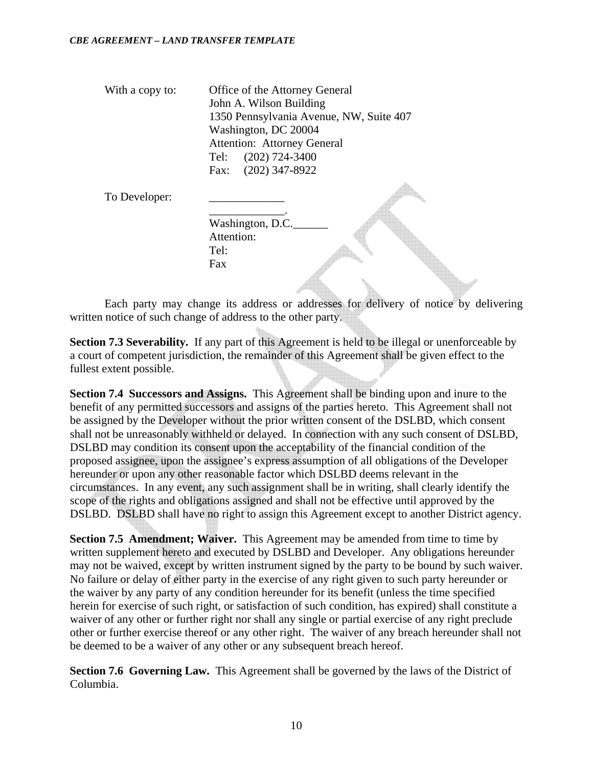With a copy to: Office of the Attorney General John A. Wilson Building 1350 Pennsylvania Avenue, NW, Suite 407 Washington, DC 20004 Attention: Attorney General Tel: (202) 724-3400 Fax: (202) 347-8922

To Developer:

 $\mathcal{L}_\text{max}$  and  $\mathcal{L}_\text{max}$  and  $\mathcal{L}_\text{max}$  and  $\mathcal{L}_\text{max}$ Washington, D.C. Attention: Tel: Fax

Each party may change its address or addresses for delivery of notice by delivering written notice of such change of address to the other party.

**Section 7.3 Severability.** If any part of this Agreement is held to be illegal or unenforceable by a court of competent jurisdiction, the remainder of this Agreement shall be given effect to the fullest extent possible.

**Section 7.4 Successors and Assigns.** This Agreement shall be binding upon and inure to the benefit of any permitted successors and assigns of the parties hereto. This Agreement shall not be assigned by the Developer without the prior written consent of the DSLBD, which consent shall not be unreasonably withheld or delayed. In connection with any such consent of DSLBD, DSLBD may condition its consent upon the acceptability of the financial condition of the proposed assignee, upon the assignee's express assumption of all obligations of the Developer hereunder or upon any other reasonable factor which DSLBD deems relevant in the circumstances. In any event, any such assignment shall be in writing, shall clearly identify the scope of the rights and obligations assigned and shall not be effective until approved by the DSLBD. DSLBD shall have no right to assign this Agreement except to another District agency.

**Section 7.5 Amendment: Waiver.** This Agreement may be amended from time to time by written supplement hereto and executed by DSLBD and Developer. Any obligations hereunder may not be waived, except by written instrument signed by the party to be bound by such waiver. No failure or delay of either party in the exercise of any right given to such party hereunder or the waiver by any party of any condition hereunder for its benefit (unless the time specified herein for exercise of such right, or satisfaction of such condition, has expired) shall constitute a waiver of any other or further right nor shall any single or partial exercise of any right preclude other or further exercise thereof or any other right. The waiver of any breach hereunder shall not be deemed to be a waiver of any other or any subsequent breach hereof.

**Section 7.6 Governing Law.** This Agreement shall be governed by the laws of the District of Columbia.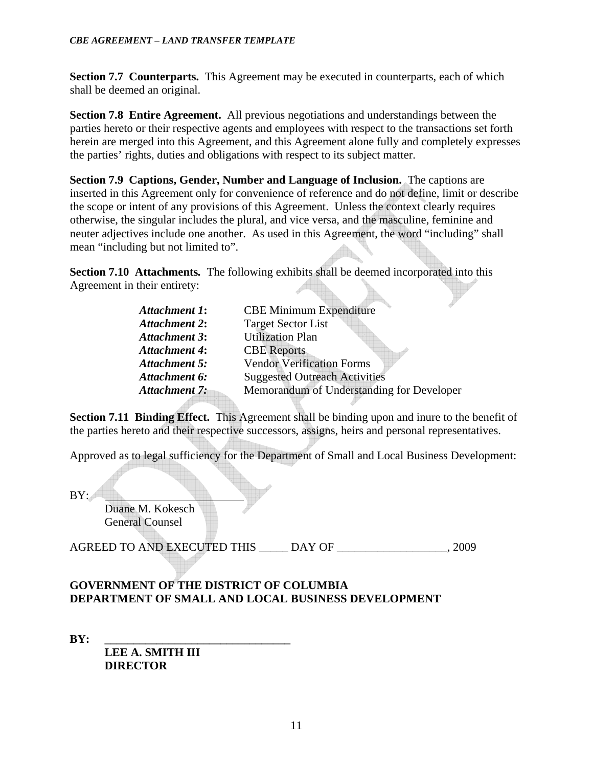**Section 7.7 Counterparts.** This Agreement may be executed in counterparts, each of which shall be deemed an original.

**Section 7.8 Entire Agreement.** All previous negotiations and understandings between the parties hereto or their respective agents and employees with respect to the transactions set forth herein are merged into this Agreement, and this Agreement alone fully and completely expresses the parties' rights, duties and obligations with respect to its subject matter.

**Section 7.9 Captions, Gender, Number and Language of Inclusion.** The captions are inserted in this Agreement only for convenience of reference and do not define, limit or describe the scope or intent of any provisions of this Agreement. Unless the context clearly requires otherwise, the singular includes the plural, and vice versa, and the masculine, feminine and neuter adjectives include one another. As used in this Agreement, the word "including" shall mean "including but not limited to".

**Section 7.10 Attachments***.* The following exhibits shall be deemed incorporated into this Agreement in their entirety:

| <b>Attachment 1:</b> | <b>CBE Minimum Expenditure</b>            |
|----------------------|-------------------------------------------|
| <b>Attachment 2:</b> | <b>Target Sector List</b>                 |
| <b>Attachment 3:</b> | <b>Utilization Plan</b>                   |
| <b>Attachment 4:</b> | <b>CBE</b> Reports                        |
| <b>Attachment 5:</b> | <b>Vendor Verification Forms</b>          |
| <b>Attachment 6:</b> | <b>Suggested Outreach Activities</b>      |
| <b>Attachment 7:</b> | Memorandum of Understanding for Developer |
|                      |                                           |

**Section 7.11 Binding Effect.** This Agreement shall be binding upon and inure to the benefit of the parties hereto and their respective successors, assigns, heirs and personal representatives.

Approved as to legal sufficiency for the Department of Small and Local Business Development:

BY:

 Duane M. Kokesch General Counsel

AGREED TO AND EXECUTED THIS \_\_\_\_\_ DAY OF \_\_\_\_\_\_\_\_\_\_\_\_\_\_\_\_\_\_\_, 2009

## **GOVERNMENT OF THE DISTRICT OF COLUMBIA DEPARTMENT OF SMALL AND LOCAL BUSINESS DEVELOPMENT**

**BY: \_\_\_\_\_\_\_\_\_\_\_\_\_\_\_\_\_\_\_\_\_\_\_\_\_\_\_\_\_\_\_\_** 

 **LEE A. SMITH III DIRECTOR**